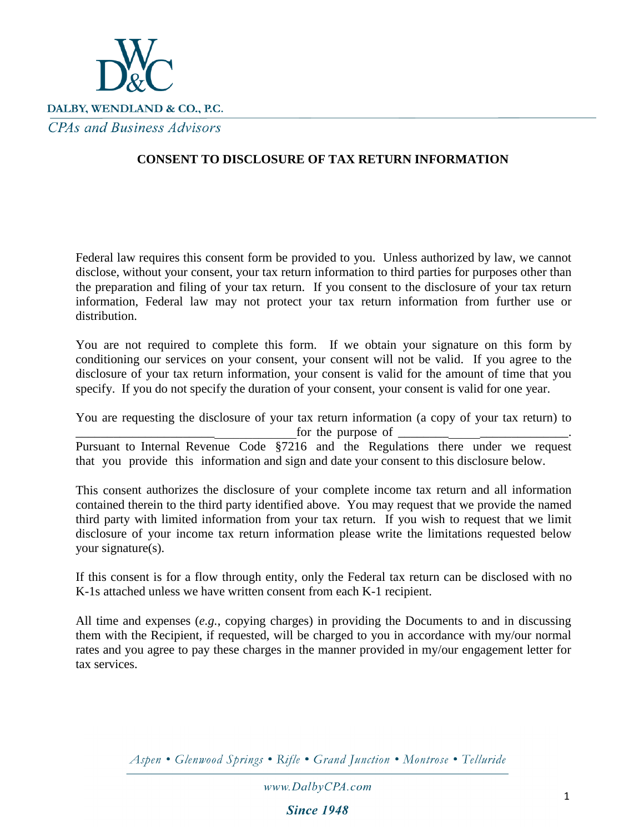

## **CONSENT TO DISCLOSURE OF TAX RETURN INFORMATION**

Federal law requires this consent form be provided to you. Unless authorized by law, we cannot disclose, without your consent, your tax return information to third parties for purposes other than the preparation and filing of your tax return. If you consent to the disclosure of your tax return information, Federal law may not protect your tax return information from further use or distribution.

You are not required to complete this form. If we obtain your signature on this form by conditioning our services on your consent, your consent will not be valid. If you agree to the disclosure of your tax return information, your consent is valid for the amount of time that you specify. If you do not specify the duration of your consent, your consent is valid for one year.

You are requesting the disclosure of your tax return information (a copy of your tax return) to  $\chi$  for the purpose of  $\chi$ Pursuant to Internal Revenue Code §7216 and the Regulations there under we request that you provide this information and sign and date your consent to this disclosure below.

This consent authorizes the disclosure of your complete income tax return and all information contained therein to the third party identified above. You may request that we provide the named third party with limited information from your tax return. If you wish to request that we limit disclosure of your income tax return information please write the limitations requested below your signature(s).

If this consent is for a flow through entity, only the Federal tax return can be disclosed with no K-1s attached unless we have written consent from each K-1 recipient.

All time and expenses (*e.g.*, copying charges) in providing the Documents to and in discussing them with the Recipient, if requested, will be charged to you in accordance with my/our normal rates and you agree to pay these charges in the manner provided in my/our engagement letter for tax services.

Aspen • Glenwood Springs • Rifle • Grand Junction • Montrose • Telluride

www.DalbyCPA.com